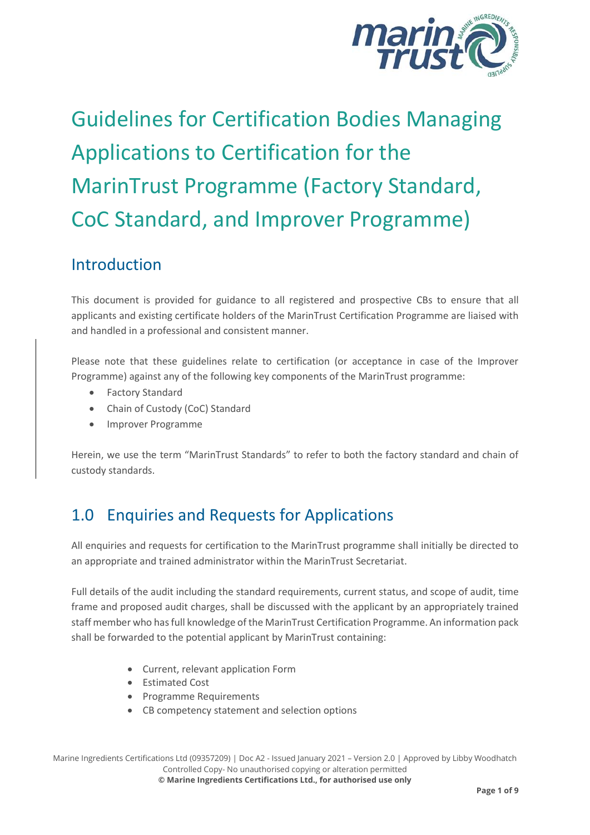

# Guidelines for Certification Bodies Managing Applications to Certification for the MarinTrust Programme (Factory Standard, CoC Standard, and Improver Programme)

### Introduction

This document is provided for guidance to all registered and prospective CBs to ensure that all applicants and existing certificate holders of the MarinTrust Certification Programme are liaised with and handled in a professional and consistent manner.

Please note that these guidelines relate to certification (or acceptance in case of the Improver Programme) against any of the following key components of the MarinTrust programme:

- Factory Standard
- Chain of Custody (CoC) Standard
- Improver Programme

Herein, we use the term "MarinTrust Standards" to refer to both the factory standard and chain of custody standards.

# 1.0 Enquiries and Requests for Applications

All enquiries and requests for certification to the MarinTrust programme shall initially be directed to an appropriate and trained administrator within the MarinTrust Secretariat.

Full details of the audit including the standard requirements, current status, and scope of audit, time frame and proposed audit charges, shall be discussed with the applicant by an appropriately trained staff member who has full knowledge of the MarinTrust Certification Programme. An information pack shall be forwarded to the potential applicant by MarinTrust containing:

- Current, relevant application Form
- Estimated Cost
- Programme Requirements
- CB competency statement and selection options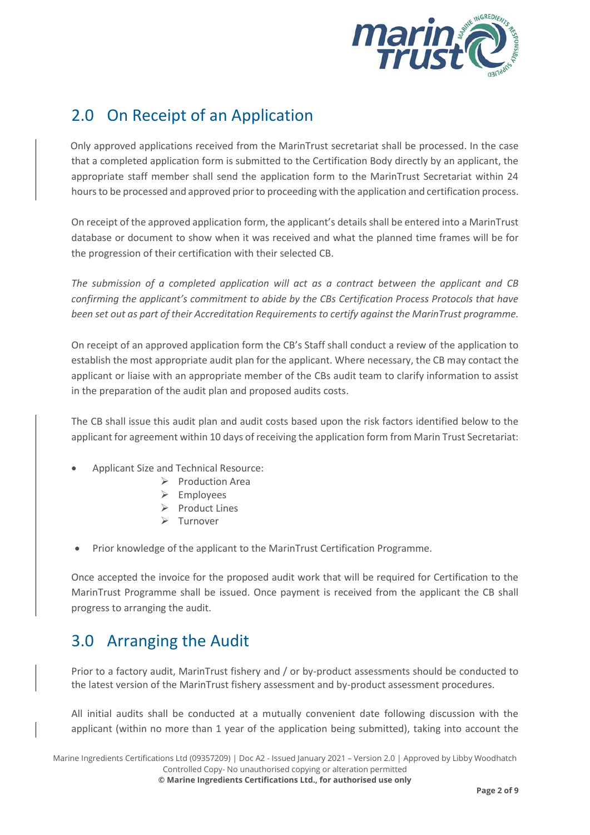

# 2.0 On Receipt of an Application

 Only approved applications received from the MarinTrust secretariat shall be processed. In the case that a completed application form is submitted to the Certification Body directly by an applicant, the appropriate staff member shall send the application form to the MarinTrust Secretariat within 24 hours to be processed and approved prior to proceeding with the application and certification process.

On receipt of the approved application form, the applicant's details shall be entered into a MarinTrust database or document to show when it was received and what the planned time frames will be for the progression of their certification with their selected CB.

*The submission of a completed application will act as a contract between the applicant and CB confirming the applicant's commitment to abide by the CBs Certification Process Protocols that have been set out as part of their Accreditation Requirements to certify against the MarinTrust programme.*

On receipt of an approved application form the CB's Staff shall conduct a review of the application to establish the most appropriate audit plan for the applicant. Where necessary, the CB may contact the applicant or liaise with an appropriate member of the CBs audit team to clarify information to assist in the preparation of the audit plan and proposed audits costs.

The CB shall issue this audit plan and audit costs based upon the risk factors identified below to the applicant for agreement within 10 days of receiving the application form from Marin Trust Secretariat:

- Applicant Size and Technical Resource:
	- ➢ Production Area
		- ➢ Employees
		- ➢ Product Lines
		- ➢ Turnover
- Prior knowledge of the applicant to the MarinTrust Certification Programme.

Once accepted the invoice for the proposed audit work that will be required for Certification to the MarinTrust Programme shall be issued. Once payment is received from the applicant the CB shall progress to arranging the audit.

# 3.0 Arranging the Audit

Prior to a factory audit, MarinTrust fishery and / or by-product assessments should be conducted to the latest version of the MarinTrust fishery assessment and by-product assessment procedures.

All initial audits shall be conducted at a mutually convenient date following discussion with the applicant (within no more than 1 year of the application being submitted), taking into account the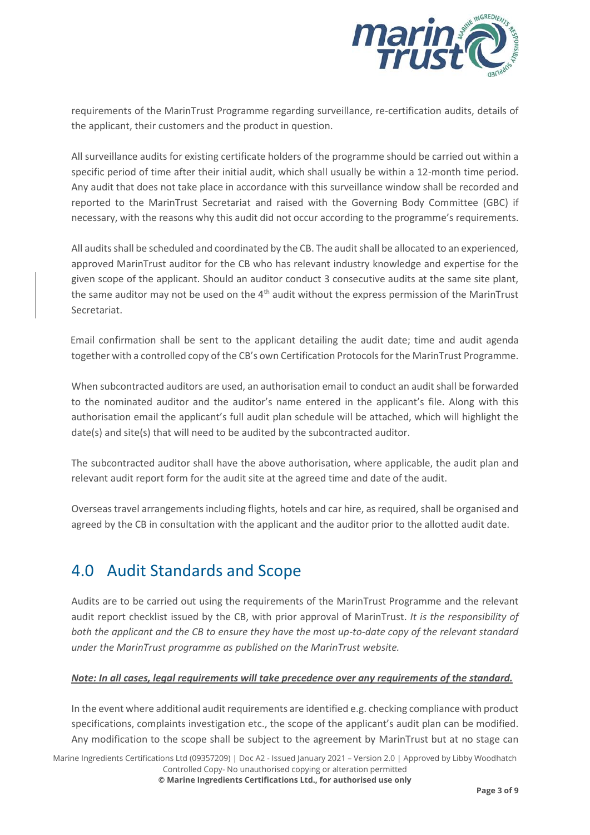

requirements of the MarinTrust Programme regarding surveillance, re-certification audits, details of the applicant, their customers and the product in question.

All surveillance audits for existing certificate holders of the programme should be carried out within a specific period of time after their initial audit, which shall usually be within a 12-month time period. Any audit that does not take place in accordance with this surveillance window shall be recorded and reported to the MarinTrust Secretariat and raised with the Governing Body Committee (GBC) if necessary, with the reasons why this audit did not occur according to the programme's requirements.

All auditsshall be scheduled and coordinated by the CB. The auditshall be allocated to an experienced, approved MarinTrust auditor for the CB who has relevant industry knowledge and expertise for the given scope of the applicant. Should an auditor conduct 3 consecutive audits at the same site plant, the same auditor may not be used on the 4<sup>th</sup> audit without the express permission of the MarinTrust Secretariat.

 Email confirmation shall be sent to the applicant detailing the audit date; time and audit agenda together with a controlled copy of the CB's own Certification Protocols for the MarinTrust Programme.

When subcontracted auditors are used, an authorisation email to conduct an audit shall be forwarded to the nominated auditor and the auditor's name entered in the applicant's file. Along with this authorisation email the applicant's full audit plan schedule will be attached, which will highlight the date(s) and site(s) that will need to be audited by the subcontracted auditor.

The subcontracted auditor shall have the above authorisation, where applicable, the audit plan and relevant audit report form for the audit site at the agreed time and date of the audit.

Overseas travel arrangements including flights, hotels and car hire, as required, shall be organised and agreed by the CB in consultation with the applicant and the auditor prior to the allotted audit date.

# 4.0 Audit Standards and Scope

Audits are to be carried out using the requirements of the MarinTrust Programme and the relevant audit report checklist issued by the CB, with prior approval of MarinTrust. *It is the responsibility of both the applicant and the CB to ensure they have the most up-to-date copy of the relevant standard under the MarinTrust programme as published on the MarinTrust website.*

#### *Note: In all cases, legal requirements will take precedence over any requirements of the standard.*

In the event where additional audit requirements are identified e.g. checking compliance with product specifications, complaints investigation etc., the scope of the applicant's audit plan can be modified. Any modification to the scope shall be subject to the agreement by MarinTrust but at no stage can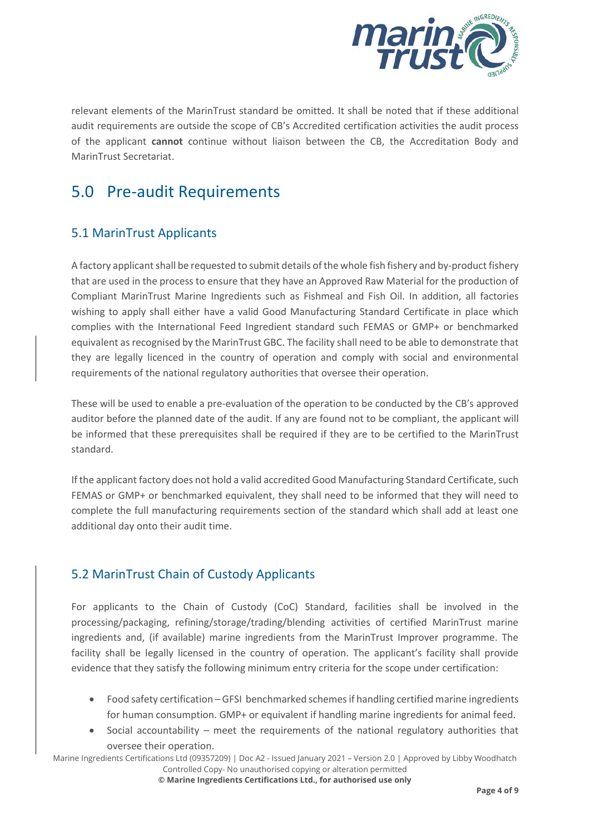

relevant elements of the MarinTrust standard be omitted. It shall be noted that if these additional audit requirements are outside the scope of CB's Accredited certification activities the audit process of the applicant **cannot** continue without liaison between the CB, the Accreditation Body and MarinTrust Secretariat.

# 5.0 Pre-audit Requirements

#### 5.1 MarinTrust Applicants

A factory applicant shall be requested to submit details of the whole fish fishery and by-product fishery that are used in the process to ensure that they have an Approved Raw Material for the production of Compliant MarinTrust Marine Ingredients such as Fishmeal and Fish Oil. In addition, all factories wishing to apply shall either have a valid Good Manufacturing Standard Certificate in place which complies with the International Feed Ingredient standard such FEMAS or GMP+ or benchmarked equivalent as recognised by the MarinTrust GBC. The facility shall need to be able to demonstrate that they are legally licenced in the country of operation and comply with social and environmental requirements of the national regulatory authorities that oversee their operation.

These will be used to enable a pre-evaluation of the operation to be conducted by the CB's approved auditor before the planned date of the audit. If any are found not to be compliant, the applicant will be informed that these prerequisites shall be required if they are to be certified to the MarinTrust standard.

If the applicant factory does not hold a valid accredited Good Manufacturing Standard Certificate, such FEMAS or GMP+ or benchmarked equivalent, they shall need to be informed that they will need to complete the full manufacturing requirements section of the standard which shall add at least one additional day onto their audit time.

#### 5.2 MarinTrust Chain of Custody Applicants

For applicants to the Chain of Custody (CoC) Standard, facilities shall be involved in the processing/packaging, refining/storage/trading/blending activities of certified MarinTrust marine ingredients and, (if available) marine ingredients from the MarinTrust Improver programme. The facility shall be legally licensed in the country of operation. The applicant's facility shall provide evidence that they satisfy the following minimum entry criteria for the scope under certification:

- Food safety certification GFSI benchmarked schemes if handling certified marine ingredients for human consumption. GMP+ or equivalent if handling marine ingredients for animal feed.
- Social accountability meet the requirements of the national regulatory authorities that oversee their operation.

Marine Ingredients Certifications Ltd (09357209) | Doc A2 - Issued January 2021 – Version 2.0 | Approved by Libby Woodhatch Controlled Copy- No unauthorised copying or alteration permitted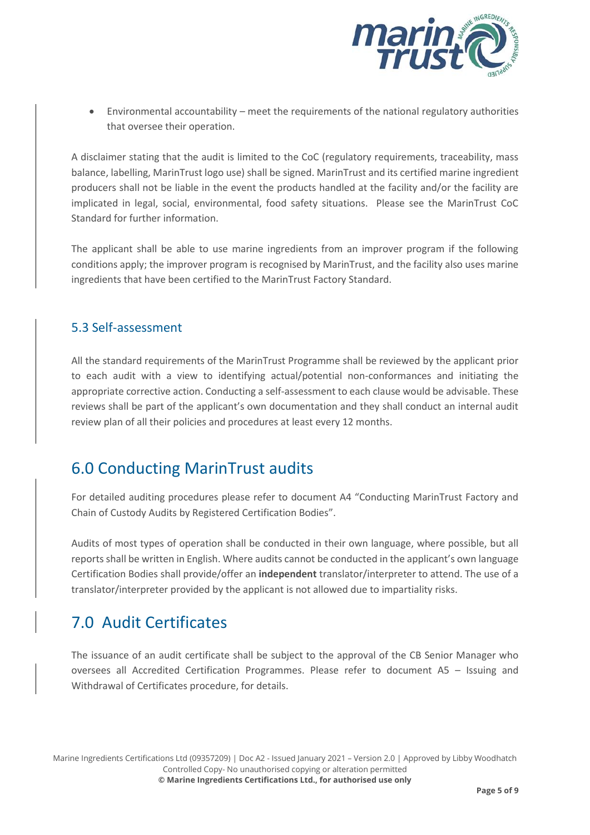

• Environmental accountability – meet the requirements of the national regulatory authorities that oversee their operation.

A disclaimer stating that the audit is limited to the CoC (regulatory requirements, traceability, mass balance, labelling, MarinTrust logo use) shall be signed. MarinTrust and its certified marine ingredient producers shall not be liable in the event the products handled at the facility and/or the facility are implicated in legal, social, environmental, food safety situations. Please see the MarinTrust CoC Standard for further information.

The applicant shall be able to use marine ingredients from an improver program if the following conditions apply; the improver program is recognised by MarinTrust, and the facility also uses marine ingredients that have been certified to the MarinTrust Factory Standard.

#### 5.3 Self-assessment

All the standard requirements of the MarinTrust Programme shall be reviewed by the applicant prior to each audit with a view to identifying actual/potential non-conformances and initiating the appropriate corrective action. Conducting a self-assessment to each clause would be advisable. These reviews shall be part of the applicant's own documentation and they shall conduct an internal audit review plan of all their policies and procedures at least every 12 months.

### 6.0 Conducting MarinTrust audits

For detailed auditing procedures please refer to document A4 "Conducting MarinTrust Factory and Chain of Custody Audits by Registered Certification Bodies".

Audits of most types of operation shall be conducted in their own language, where possible, but all reports shall be written in English. Where audits cannot be conducted in the applicant's own language Certification Bodies shall provide/offer an **independent** translator/interpreter to attend. The use of a translator/interpreter provided by the applicant is not allowed due to impartiality risks.

# 7.0 Audit Certificates

The issuance of an audit certificate shall be subject to the approval of the CB Senior Manager who oversees all Accredited Certification Programmes. Please refer to document A5 – Issuing and Withdrawal of Certificates procedure, for details.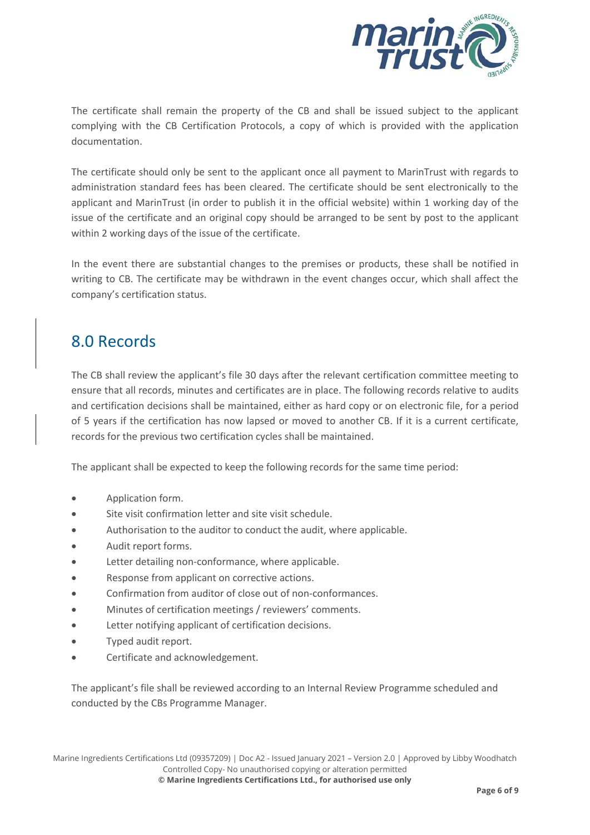

The certificate shall remain the property of the CB and shall be issued subject to the applicant complying with the CB Certification Protocols, a copy of which is provided with the application documentation.

The certificate should only be sent to the applicant once all payment to MarinTrust with regards to administration standard fees has been cleared. The certificate should be sent electronically to the applicant and MarinTrust (in order to publish it in the official website) within 1 working day of the issue of the certificate and an original copy should be arranged to be sent by post to the applicant within 2 working days of the issue of the certificate.

In the event there are substantial changes to the premises or products, these shall be notified in writing to CB. The certificate may be withdrawn in the event changes occur, which shall affect the company's certification status.

### 8.0 Records

The CB shall review the applicant's file 30 days after the relevant certification committee meeting to ensure that all records, minutes and certificates are in place. The following records relative to audits and certification decisions shall be maintained, either as hard copy or on electronic file, for a period of 5 years if the certification has now lapsed or moved to another CB. If it is a current certificate, records for the previous two certification cycles shall be maintained.

The applicant shall be expected to keep the following records for the same time period:

- Application form.
- Site visit confirmation letter and site visit schedule.
- Authorisation to the auditor to conduct the audit, where applicable.
- Audit report forms.
- Letter detailing non-conformance, where applicable.
- Response from applicant on corrective actions.
- Confirmation from auditor of close out of non-conformances.
- Minutes of certification meetings / reviewers' comments.
- Letter notifying applicant of certification decisions.
- Typed audit report.
- Certificate and acknowledgement.

The applicant's file shall be reviewed according to an Internal Review Programme scheduled and conducted by the CBs Programme Manager.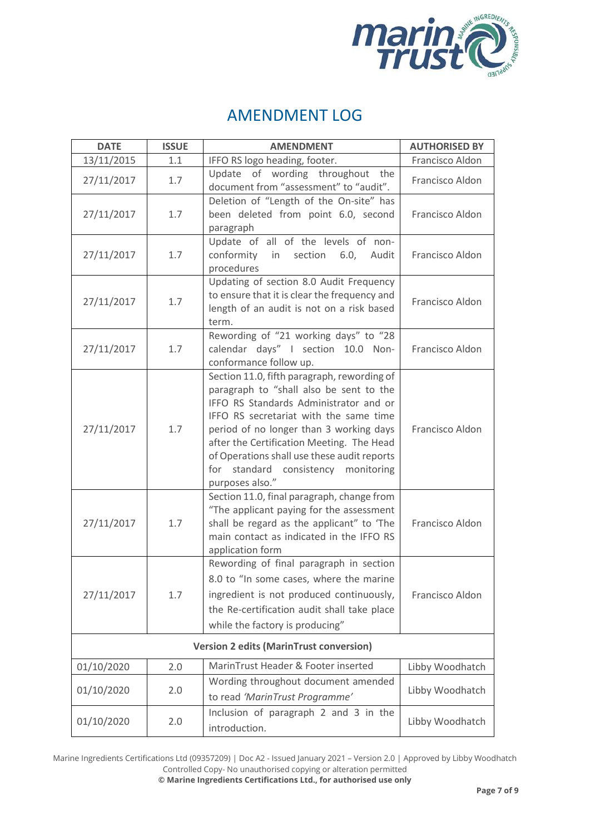

### AMENDMENT LOG

| <b>DATE</b>                                    | <b>ISSUE</b> | <b>AMENDMENT</b>                                                                                                                                                                                                                                                                                                                                                               | <b>AUTHORISED BY</b> |  |
|------------------------------------------------|--------------|--------------------------------------------------------------------------------------------------------------------------------------------------------------------------------------------------------------------------------------------------------------------------------------------------------------------------------------------------------------------------------|----------------------|--|
| 13/11/2015                                     | 1.1          | IFFO RS logo heading, footer.                                                                                                                                                                                                                                                                                                                                                  | Francisco Aldon      |  |
| 27/11/2017                                     | 1.7          | Update of wording throughout the<br>document from "assessment" to "audit".                                                                                                                                                                                                                                                                                                     | Francisco Aldon      |  |
| 27/11/2017                                     | 1.7          | Deletion of "Length of the On-site" has<br>been deleted from point 6.0, second<br>paragraph                                                                                                                                                                                                                                                                                    | Francisco Aldon      |  |
| 27/11/2017                                     | 1.7          | Update of all of the levels of non-<br>conformity in<br>section<br>6.0,<br>Audit<br>procedures                                                                                                                                                                                                                                                                                 | Francisco Aldon      |  |
| 27/11/2017                                     | 1.7          | Updating of section 8.0 Audit Frequency<br>to ensure that it is clear the frequency and<br>length of an audit is not on a risk based<br>term.                                                                                                                                                                                                                                  | Francisco Aldon      |  |
| 27/11/2017                                     | 1.7          | Rewording of "21 working days" to "28<br>calendar days" I section 10.0 Non-<br>conformance follow up.                                                                                                                                                                                                                                                                          | Francisco Aldon      |  |
| 27/11/2017                                     | 1.7          | Section 11.0, fifth paragraph, rewording of<br>paragraph to "shall also be sent to the<br>IFFO RS Standards Administrator and or<br>IFFO RS secretariat with the same time<br>period of no longer than 3 working days<br>after the Certification Meeting. The Head<br>of Operations shall use these audit reports<br>for<br>standard consistency monitoring<br>purposes also." | Francisco Aldon      |  |
| 27/11/2017                                     | 1.7          | Section 11.0, final paragraph, change from<br>"The applicant paying for the assessment<br>shall be regard as the applicant" to 'The<br>main contact as indicated in the IFFO RS<br>application form                                                                                                                                                                            | Francisco Aldon      |  |
| 27/11/2017                                     | 1.7          | Rewording of final paragraph in section<br>8.0 to "In some cases, where the marine<br>ingredient is not produced continuously,<br>the Re-certification audit shall take place<br>while the factory is producing"                                                                                                                                                               | Francisco Aldon      |  |
| <b>Version 2 edits (MarinTrust conversion)</b> |              |                                                                                                                                                                                                                                                                                                                                                                                |                      |  |
| 01/10/2020                                     | 2.0          | MarinTrust Header & Footer inserted                                                                                                                                                                                                                                                                                                                                            | Libby Woodhatch      |  |
| 01/10/2020                                     | 2.0          | Wording throughout document amended<br>to read 'MarinTrust Programme'                                                                                                                                                                                                                                                                                                          | Libby Woodhatch      |  |
| 01/10/2020                                     | 2.0          | Inclusion of paragraph 2 and 3 in the<br>introduction.                                                                                                                                                                                                                                                                                                                         | Libby Woodhatch      |  |

Marine Ingredients Certifications Ltd (09357209) | Doc A2 - Issued January 2021 – Version 2.0 | Approved by Libby Woodhatch Controlled Copy- No unauthorised copying or alteration permitted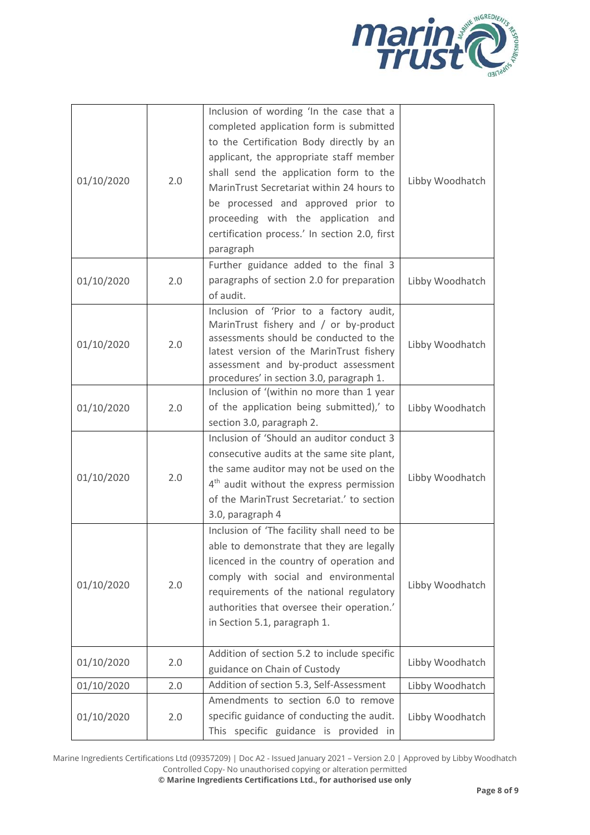

| 01/10/2020 | 2.0 | Inclusion of wording 'In the case that a<br>completed application form is submitted<br>to the Certification Body directly by an<br>applicant, the appropriate staff member<br>shall send the application form to the<br>MarinTrust Secretariat within 24 hours to<br>be processed and approved prior to<br>proceeding with the application and<br>certification process.' In section 2.0, first<br>paragraph | Libby Woodhatch |
|------------|-----|--------------------------------------------------------------------------------------------------------------------------------------------------------------------------------------------------------------------------------------------------------------------------------------------------------------------------------------------------------------------------------------------------------------|-----------------|
| 01/10/2020 | 2.0 | Further guidance added to the final 3<br>paragraphs of section 2.0 for preparation<br>of audit.                                                                                                                                                                                                                                                                                                              | Libby Woodhatch |
| 01/10/2020 | 2.0 | Inclusion of 'Prior to a factory audit,<br>MarinTrust fishery and / or by-product<br>assessments should be conducted to the<br>latest version of the MarinTrust fishery<br>assessment and by-product assessment<br>procedures' in section 3.0, paragraph 1.                                                                                                                                                  | Libby Woodhatch |
| 01/10/2020 | 2.0 | Inclusion of '(within no more than 1 year<br>of the application being submitted),' to<br>section 3.0, paragraph 2.                                                                                                                                                                                                                                                                                           | Libby Woodhatch |
| 01/10/2020 | 2.0 | Inclusion of 'Should an auditor conduct 3<br>consecutive audits at the same site plant,<br>the same auditor may not be used on the<br>4 <sup>th</sup> audit without the express permission<br>of the MarinTrust Secretariat.' to section<br>3.0, paragraph 4                                                                                                                                                 | Libby Woodhatch |
| 01/10/2020 | 2.0 | Inclusion of 'The facility shall need to be<br>able to demonstrate that they are legally<br>licenced in the country of operation and<br>comply with social and environmental<br>requirements of the national regulatory<br>authorities that oversee their operation.'<br>in Section 5.1, paragraph 1.                                                                                                        | Libby Woodhatch |
| 01/10/2020 | 2.0 | Addition of section 5.2 to include specific<br>guidance on Chain of Custody                                                                                                                                                                                                                                                                                                                                  | Libby Woodhatch |
| 01/10/2020 | 2.0 | Addition of section 5.3, Self-Assessment                                                                                                                                                                                                                                                                                                                                                                     | Libby Woodhatch |
| 01/10/2020 | 2.0 | Amendments to section 6.0 to remove<br>specific guidance of conducting the audit.<br>This specific guidance is provided in                                                                                                                                                                                                                                                                                   | Libby Woodhatch |

Marine Ingredients Certifications Ltd (09357209) | Doc A2 - Issued January 2021 – Version 2.0 | Approved by Libby Woodhatch Controlled Copy- No unauthorised copying or alteration permitted